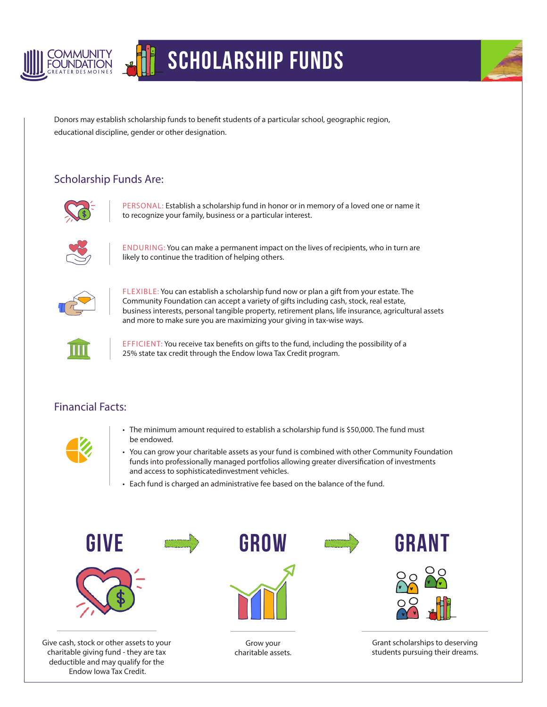

## Scholarship Funds



Donors may establish scholarship funds to benefit students of a particular school, geographic region, educational discipline, gender or other designation.

## Scholarship Funds Are:



PERSONAL: Establish a scholarship fund in honor or in memory of a loved one or name it to recognize your family, business or a particular interest.



ENDURING: You can make a permanent impact on the lives of recipients, who in turn are likely to continue the tradition of helping others.



FLEXIBLE: You can establish a scholarship fund now or plan a gift from your estate. The Community Foundation can accept a variety of gifts including cash, stock, real estate, business interests, personal tangible property, retirement plans, life insurance, agricultural assets and more to make sure you are maximizing your giving in tax-wise ways.



EFFICIENT: You receive tax benefits on gifts to the fund, including the possibility of a 25% state tax credit through the Endow Iowa Tax Credit program.

## Financial Facts:



- The minimum amount required to establish a scholarship fund is \$50,000. The fund must be endowed.
- You can grow your charitable assets as your fund is combined with other Community Foundation funds into professionally managed portfolios allowing greater diversification of investments and access to sophisticatedinvestment vehicles.
- Each fund is charged an administrative fee based on the balance of the fund.



Give cash, stock or other assets to your charitable giving fund - they are tax deductible and may qualify for the Endow Iowa Tax Credit.



Grow your charitable assets.



Grant scholarships to deserving students pursuing their dreams.